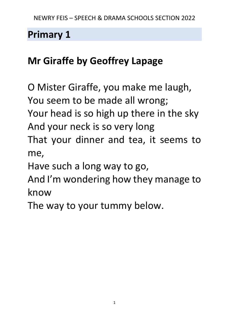# **Mr Giraffe by Geoffrey Lapage**

O Mister Giraffe, you make me laugh, You seem to be made all wrong; Your head is so high up there in the sky And your neck is so very long That your dinner and tea, it seems to me, Have such a long way to go, And I'm wondering how they manage to

know

The way to your tummy below.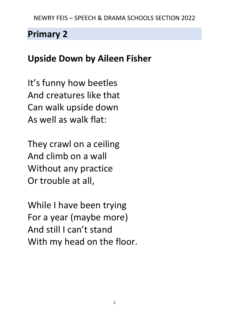# **Upside Down by Aileen Fisher**

It's funny how beetles And creatures like that Can walk upside down As well as walk flat:

They crawl on a ceiling And climb on a wall Without any practice Or trouble at all,

While I have been trying For a year (maybe more) And still I can't stand With my head on the floor.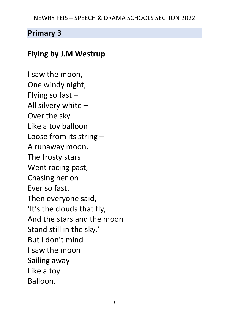#### NEWRY FEIS – SPEECH & DRAMA SCHOOLS SECTION 2022

### **Primary 3**

### **Flying by J.M Westrup**

I saw the moon, One windy night, Flying so fast – All silvery white – Over the sky Like a toy balloon Loose from its string – A runaway moon. The frosty stars Went racing past, Chasing her on Ever so fast. Then everyone said, 'It's the clouds that fly, And the stars and the moon Stand still in the sky.' But I don't mind – I saw the moon Sailing away Like a toy Balloon.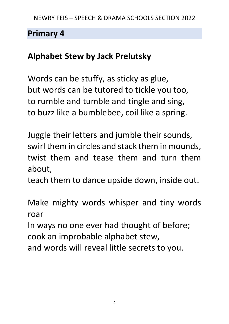## **Alphabet Stew by Jack Prelutsky**

Words can be stuffy, as sticky as glue, but words can be tutored to tickle you too, to rumble and tumble and tingle and sing, to buzz like a bumblebee, coil like a spring.

Juggle their letters and jumble their sounds, swirl them in circles and stack them in mounds, twist them and tease them and turn them about,

teach them to dance upside down, inside out.

Make mighty words whisper and tiny words roar

In ways no one ever had thought of before; cook an improbable alphabet stew,

and words will reveal little secrets to you.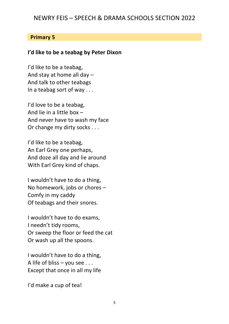#### NEWRY FEIS – SPEECH & DRAMA SCHOOLS SECTION 2022

#### **Primary 5**

#### **I'd like to be a teabag by Peter Dixon**

I'd like to be a teabag, And stay at home all day – And talk to other teabags In a teabag sort of way . . .

I'd love to be a teabag, And lie in a little box – And never have to wash my face Or change my dirty socks . . .

I'd like to be a teabag, An Earl Grey one perhaps, And doze all day and lie around With Earl Grey kind of chaps.

I wouldn't have to do a thing, No homework, jobs or chores – Comfy in my caddy Of teabags and their snores.

I wouldn't have to do exams, I needn't tidy rooms, Or sweep the floor or feed the cat Or wash up all the spoons.

I wouldn't have to do a thing, A life of bliss – you see . . . Except that once in all my life

I'd make a cup of tea!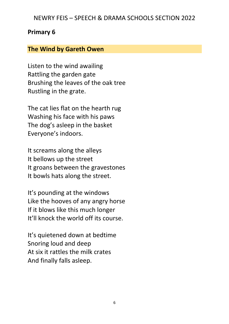#### NEWRY FEIS – SPEECH & DRAMA SCHOOLS SECTION 2022

#### **Primary 6**

#### **The Wind by Gareth Owen**

Listen to the wind awailing Rattling the garden gate Brushing the leaves of the oak tree Rustling in the grate.

The cat lies flat on the hearth rug Washing his face with his paws The dog's asleep in the basket Everyone's indoors.

It screams along the alleys It bellows up the street It groans between the gravestones It bowls hats along the street.

It's pounding at the windows Like the hooves of any angry horse If it blows like this much longer It'll knock the world off its course.

It's quietened down at bedtime Snoring loud and deep At six it rattles the milk crates And finally falls asleep.